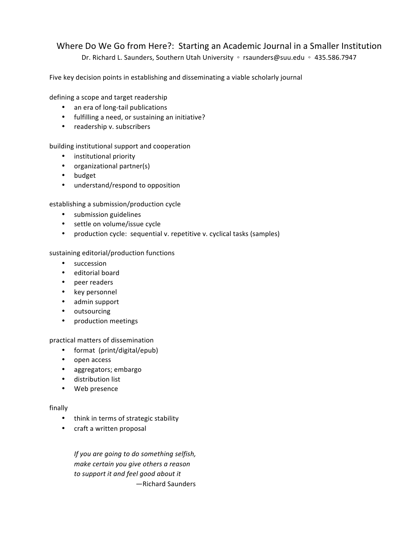# Where Do We Go from Here?: Starting an Academic Journal in a Smaller Institution

Dr. Richard L. Saunders, Southern Utah University 。 rsaunders@suu.edu 。 435.586.7947

Five key decision points in establishing and disseminating a viable scholarly journal

defining a scope and target readership

- an era of long-tail publications
- fulfilling a need, or sustaining an initiative?
- readership v. subscribers

building institutional support and cooperation

- institutional priority
- organizational partner(s)
- budget
- understand/respond to opposition

establishing a submission/production cycle

- submission guidelines
- settle on volume/issue cycle
- production cycle: sequential v. repetitive v. cyclical tasks (samples)

### sustaining editorial/production functions

- succession
- editorial board
- peer readers
- key personnel
- admin support
- outsourcing
- production meetings

practical matters of dissemination

- format (print/digital/epub)
- open access
- aggregators; embargo
- distribution list
- Web presence

### finally

- think in terms of strategic stability
- craft a written proposal

*If* you are going to do something selfish, *make certain you give others a reason* to support it and feel good about it —Richard Saunders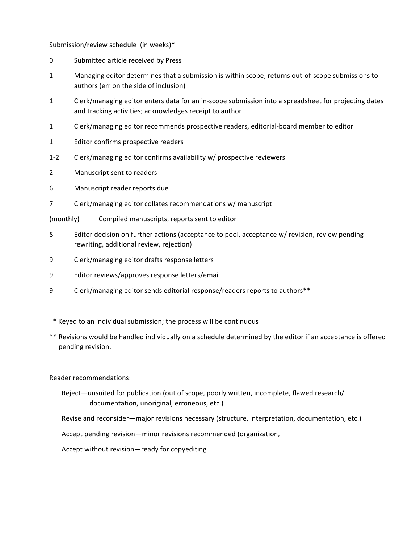### Submission/review schedule (in weeks)\*

- 0 Submitted article received by Press
- 1 Managing editor determines that a submission is within scope; returns out-of-scope submissions to authors (err on the side of inclusion)
- 1 Clerk/managing editor enters data for an in-scope submission into a spreadsheet for projecting dates and tracking activities; acknowledges receipt to author
- 1 Clerk/managing editor recommends prospective readers, editorial-board member to editor
- 1 Editor confirms prospective readers
- 1-2 Clerk/managing editor confirms availability w/ prospective reviewers
- 2 Manuscript sent to readers
- 6 Manuscript reader reports due
- 7 Clerk/managing editor collates recommendations w/ manuscript
- (monthly) Compiled manuscripts, reports sent to editor
- 8 Editor decision on further actions (acceptance to pool, acceptance w/ revision, review pending rewriting, additional review, rejection)
- 9 Clerk/managing editor drafts response letters
- 9 Editor reviews/approves response letters/email
- 9 Clerk/managing editor sends editorial response/readers reports to authors\*\*
- \* Keyed to an individual submission; the process will be continuous
- \*\* Revisions would be handled individually on a schedule determined by the editor if an acceptance is offered pending revision.

Reader recommendations:

Reject—unsuited for publication (out of scope, poorly written, incomplete, flawed research/ documentation, unoriginal, erroneous, etc.)

Revise and reconsider—major revisions necessary (structure, interpretation, documentation, etc.)

Accept pending revision—minor revisions recommended (organization,

Accept without revision—ready for copyediting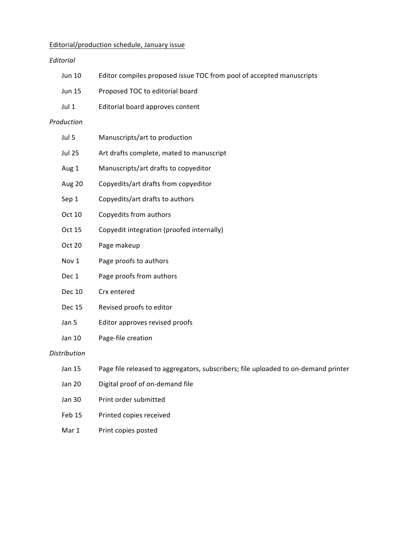## Editorial/production schedule, January issue

### *Editorial*

|                                                  | <b>Jun 10</b>                             | Editor compiles proposed issue TOC from pool of accepted manuscripts               |  |  |  |  |
|--------------------------------------------------|-------------------------------------------|------------------------------------------------------------------------------------|--|--|--|--|
|                                                  | <b>Jun 15</b>                             | Proposed TOC to editorial board                                                    |  |  |  |  |
|                                                  | Jul 1<br>Editorial board approves content |                                                                                    |  |  |  |  |
|                                                  | Production                                |                                                                                    |  |  |  |  |
|                                                  | Jul 5                                     | Manuscripts/art to production                                                      |  |  |  |  |
|                                                  | <b>Jul 25</b>                             | Art drafts complete, mated to manuscript                                           |  |  |  |  |
|                                                  | Aug 1                                     | Manuscripts/art drafts to copyeditor                                               |  |  |  |  |
|                                                  | Aug 20                                    | Copyedits/art drafts from copyeditor                                               |  |  |  |  |
|                                                  | Sep 1                                     | Copyedits/art drafts to authors                                                    |  |  |  |  |
|                                                  | Oct 10                                    | Copyedits from authors                                                             |  |  |  |  |
|                                                  | Oct 15                                    | Copyedit integration (proofed internally)                                          |  |  |  |  |
|                                                  | Oct 20                                    | Page makeup                                                                        |  |  |  |  |
|                                                  | Nov 1                                     | Page proofs to authors                                                             |  |  |  |  |
|                                                  | Dec 1                                     | Page proofs from authors                                                           |  |  |  |  |
|                                                  | <b>Dec 10</b>                             | Crx entered                                                                        |  |  |  |  |
|                                                  | <b>Dec 15</b>                             | Revised proofs to editor                                                           |  |  |  |  |
|                                                  | Jan 5                                     | Editor approves revised proofs                                                     |  |  |  |  |
|                                                  | Jan 10                                    | Page-file creation                                                                 |  |  |  |  |
|                                                  | <b>Distribution</b>                       |                                                                                    |  |  |  |  |
|                                                  | Jan 15                                    | Page file released to aggregators, subscribers; file uploaded to on-demand printer |  |  |  |  |
| Digital proof of on-demand file<br><b>Jan 20</b> |                                           |                                                                                    |  |  |  |  |
|                                                  | <b>Jan 30</b>                             | Print order submitted                                                              |  |  |  |  |
|                                                  |                                           |                                                                                    |  |  |  |  |

- Feb 15 Printed copies received
- Mar 1 Print copies posted